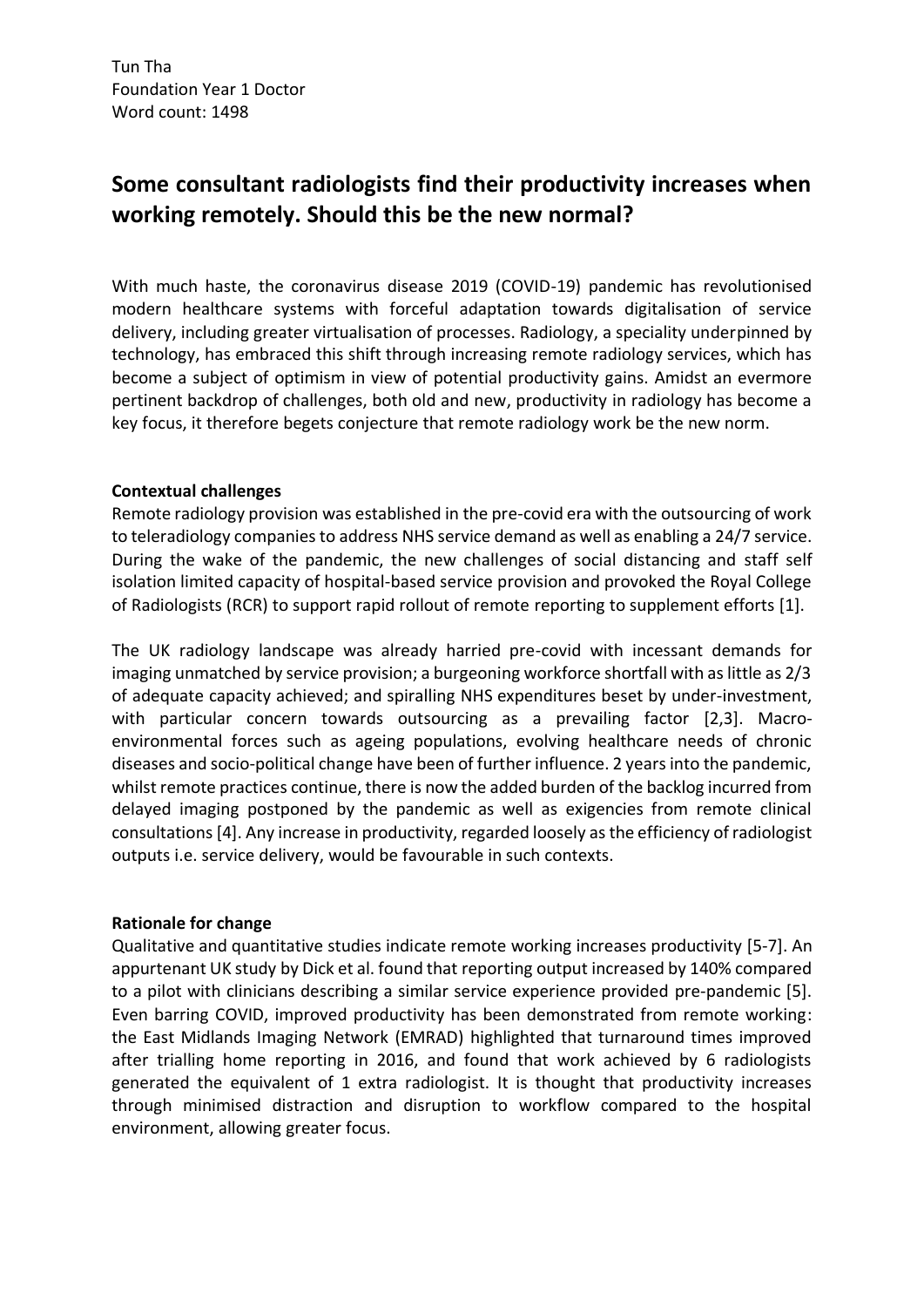# **Some consultant radiologists find their productivity increases when working remotely. Should this be the new normal?**

With much haste, the coronavirus disease 2019 (COVID-19) pandemic has revolutionised modern healthcare systems with forceful adaptation towards digitalisation of service delivery, including greater virtualisation of processes. Radiology, a speciality underpinned by technology, has embraced this shift through increasing remote radiology services, which has become a subject of optimism in view of potential productivity gains. Amidst an evermore pertinent backdrop of challenges, both old and new, productivity in radiology has become a key focus, it therefore begets conjecture that remote radiology work be the new norm.

## **Contextual challenges**

Remote radiology provision was established in the pre-covid era with the outsourcing of work to teleradiology companies to address NHS service demand as well as enabling a 24/7 service. During the wake of the pandemic, the new challenges of social distancing and staff self isolation limited capacity of hospital-based service provision and provoked the Royal College of Radiologists (RCR) to support rapid rollout of remote reporting to supplement efforts [1].

The UK radiology landscape was already harried pre-covid with incessant demands for imaging unmatched by service provision; a burgeoning workforce shortfall with as little as 2/3 of adequate capacity achieved; and spiralling NHS expenditures beset by under-investment, with particular concern towards outsourcing as a prevailing factor [2,3]. Macroenvironmental forces such as ageing populations, evolving healthcare needs of chronic diseases and socio-political change have been of further influence. 2 years into the pandemic, whilst remote practices continue, there is now the added burden of the backlog incurred from delayed imaging postponed by the pandemic as well as exigencies from remote clinical consultations[4]. Any increase in productivity, regarded loosely as the efficiency of radiologist outputs i.e. service delivery, would be favourable in such contexts.

#### **Rationale for change**

Qualitative and quantitative studies indicate remote working increases productivity [5-7]. An appurtenant UK study by Dick et al. found that reporting output increased by 140% compared to a pilot with clinicians describing a similar service experience provided pre-pandemic [5]. Even barring COVID, improved productivity has been demonstrated from remote working: the East Midlands Imaging Network (EMRAD) highlighted that turnaround times improved after trialling home reporting in 2016, and found that work achieved by 6 radiologists generated the equivalent of 1 extra radiologist. It is thought that productivity increases through minimised distraction and disruption to workflow compared to the hospital environment, allowing greater focus.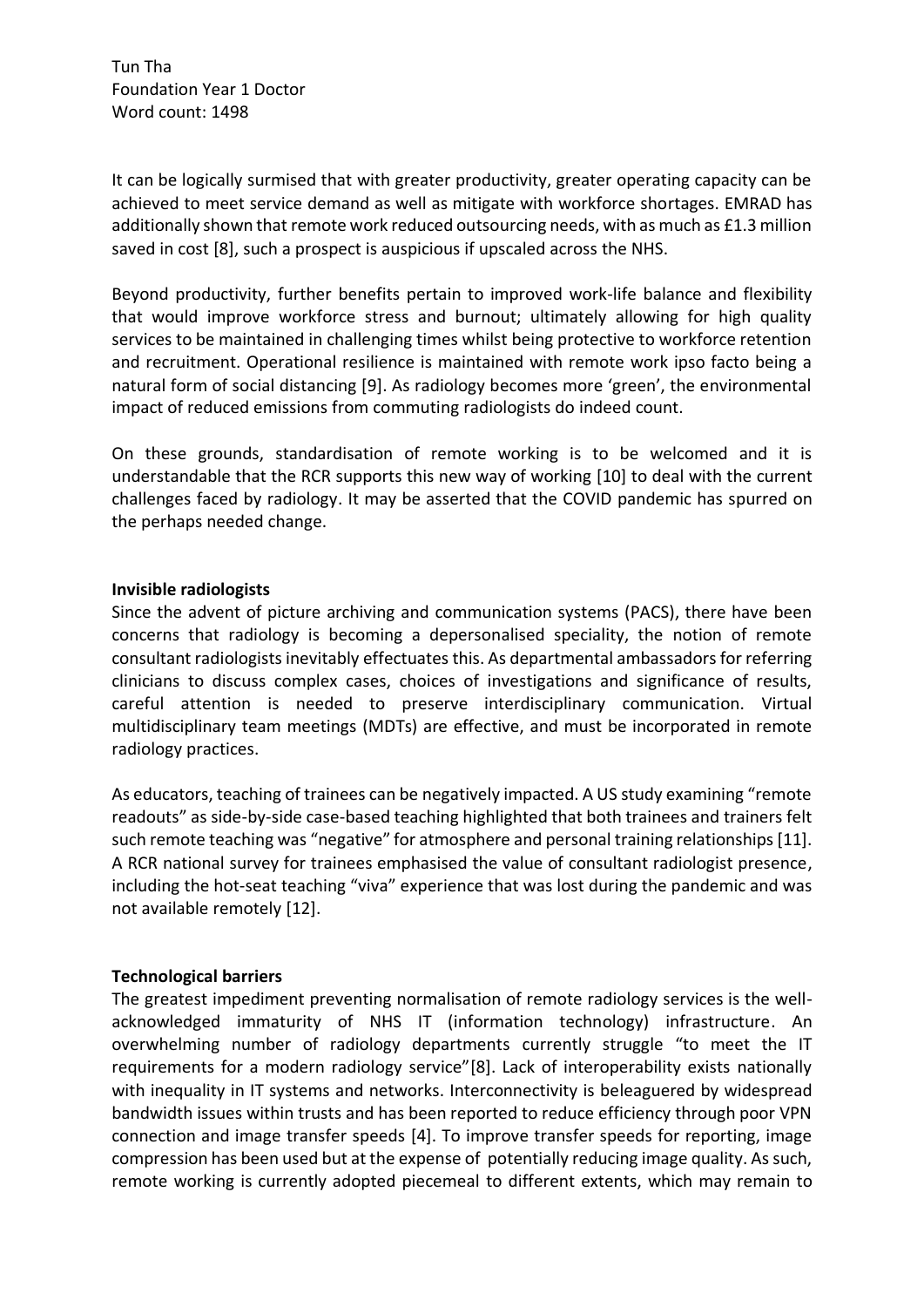Tun Tha Foundation Year 1 Doctor Word count: 1498

It can be logically surmised that with greater productivity, greater operating capacity can be achieved to meet service demand as well as mitigate with workforce shortages. EMRAD has additionally shown that remote work reduced outsourcing needs, with as much as £1.3 million saved in cost [8], such a prospect is auspicious if upscaled across the NHS.

Beyond productivity, further benefits pertain to improved work-life balance and flexibility that would improve workforce stress and burnout; ultimately allowing for high quality services to be maintained in challenging times whilst being protective to workforce retention and recruitment. Operational resilience is maintained with remote work ipso facto being a natural form of social distancing [9]. As radiology becomes more 'green', the environmental impact of reduced emissions from commuting radiologists do indeed count.

On these grounds, standardisation of remote working is to be welcomed and it is understandable that the RCR supports this new way of working [10] to deal with the current challenges faced by radiology. It may be asserted that the COVID pandemic has spurred on the perhaps needed change.

#### **Invisible radiologists**

Since the advent of picture archiving and communication systems (PACS), there have been concerns that radiology is becoming a depersonalised speciality, the notion of remote consultant radiologists inevitably effectuates this. As departmental ambassadors for referring clinicians to discuss complex cases, choices of investigations and significance of results, careful attention is needed to preserve interdisciplinary communication. Virtual multidisciplinary team meetings (MDTs) are effective, and must be incorporated in remote radiology practices.

As educators, teaching of trainees can be negatively impacted. A US study examining "remote readouts" as side-by-side case-based teaching highlighted that both trainees and trainers felt such remote teaching was "negative" for atmosphere and personal training relationships [11]. A RCR national survey for trainees emphasised the value of consultant radiologist presence, including the hot-seat teaching "viva" experience that was lost during the pandemic and was not available remotely [12].

#### **Technological barriers**

The greatest impediment preventing normalisation of remote radiology services is the wellacknowledged immaturity of NHS IT (information technology) infrastructure. An overwhelming number of radiology departments currently struggle "to meet the IT requirements for a modern radiology service"[8]. Lack of interoperability exists nationally with inequality in IT systems and networks. Interconnectivity is beleaguered by widespread bandwidth issues within trusts and has been reported to reduce efficiency through poor VPN connection and image transfer speeds [4]. To improve transfer speeds for reporting, image compression has been used but at the expense of potentially reducing image quality. As such, remote working is currently adopted piecemeal to different extents, which may remain to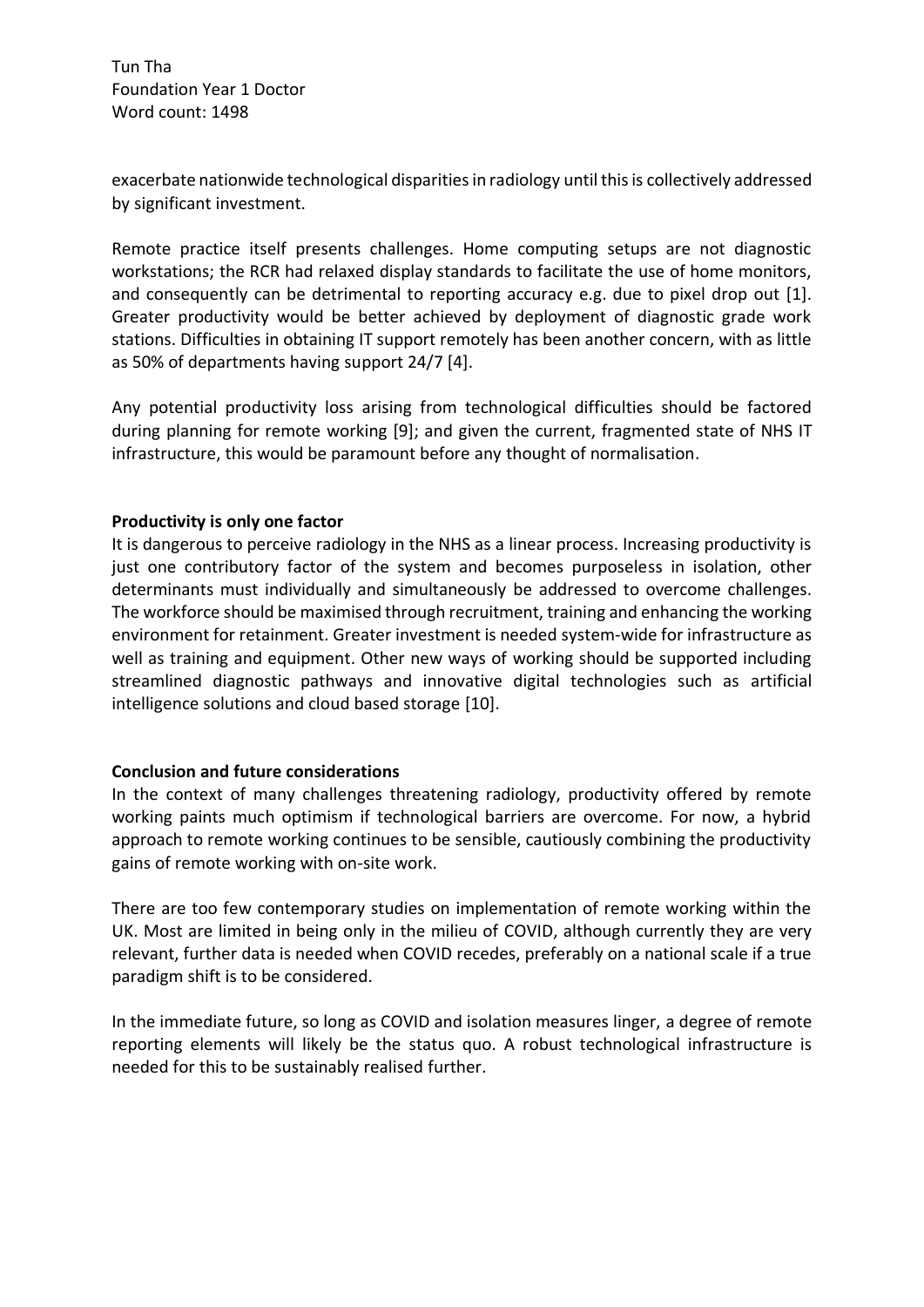Tun Tha Foundation Year 1 Doctor Word count: 1498

exacerbate nationwide technological disparities in radiology until this is collectively addressed by significant investment.

Remote practice itself presents challenges. Home computing setups are not diagnostic workstations; the RCR had relaxed display standards to facilitate the use of home monitors, and consequently can be detrimental to reporting accuracy e.g. due to pixel drop out [1]. Greater productivity would be better achieved by deployment of diagnostic grade work stations. Difficulties in obtaining IT support remotely has been another concern, with as little as 50% of departments having support 24/7 [4].

Any potential productivity loss arising from technological difficulties should be factored during planning for remote working [9]; and given the current, fragmented state of NHS IT infrastructure, this would be paramount before any thought of normalisation.

### **Productivity is only one factor**

It is dangerous to perceive radiology in the NHS as a linear process. Increasing productivity is just one contributory factor of the system and becomes purposeless in isolation, other determinants must individually and simultaneously be addressed to overcome challenges. The workforce should be maximised through recruitment, training and enhancing the working environment for retainment. Greater investment is needed system-wide for infrastructure as well as training and equipment. Other new ways of working should be supported including streamlined diagnostic pathways and innovative digital technologies such as artificial intelligence solutions and cloud based storage [10].

## **Conclusion and future considerations**

In the context of many challenges threatening radiology, productivity offered by remote working paints much optimism if technological barriers are overcome. For now, a hybrid approach to remote working continues to be sensible, cautiously combining the productivity gains of remote working with on-site work.

There are too few contemporary studies on implementation of remote working within the UK. Most are limited in being only in the milieu of COVID, although currently they are very relevant, further data is needed when COVID recedes, preferably on a national scale if a true paradigm shift is to be considered.

In the immediate future, so long as COVID and isolation measures linger, a degree of remote reporting elements will likely be the status quo. A robust technological infrastructure is needed for this to be sustainably realised further.